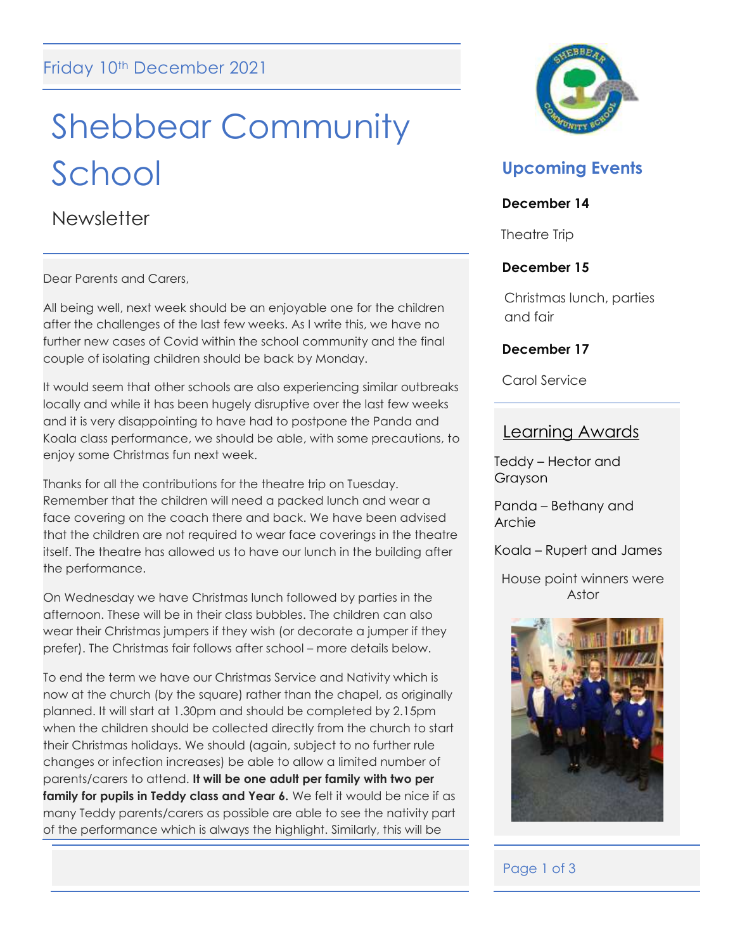# Shebbear Community School

**Newsletter** 

Dear Parents and Carers,

All being well, next week should be an enjoyable one for the children after the challenges of the last few weeks. As I write this, we have no further new cases of Covid within the school community and the final couple of isolating children should be back by Monday.

It would seem that other schools are also experiencing similar outbreaks locally and while it has been hugely disruptive over the last few weeks and it is very disappointing to have had to postpone the Panda and Koala class performance, we should be able, with some precautions, to enjoy some Christmas fun next week.

Thanks for all the contributions for the theatre trip on Tuesday. Remember that the children will need a packed lunch and wear a face covering on the coach there and back. We have been advised that the children are not required to wear face coverings in the theatre itself. The theatre has allowed us to have our lunch in the building after the performance.

On Wednesday we have Christmas lunch followed by parties in the afternoon. These will be in their class bubbles. The children can also wear their Christmas jumpers if they wish (or decorate a jumper if they prefer). The Christmas fair follows after school – more details below.

To end the term we have our Christmas Service and Nativity which is now at the church (by the square) rather than the chapel, as originally planned. It will start at 1.30pm and should be completed by 2.15pm when the children should be collected directly from the church to start their Christmas holidays. We should (again, subject to no further rule changes or infection increases) be able to allow a limited number of parents/carers to attend. **It will be one adult per family with two per family for pupils in Teddy class and Year 6.** We felt it would be nice if as many Teddy parents/carers as possible are able to see the nativity part of the performance which is always the highlight. Similarly, this will be



# **Upcoming Events**

# **December 14**

Theatre Trip

# **December 15**

Christmas lunch, parties and fair

# **December 17**

Carol Service

# Learning Awards

Teddy – Hector and Grayson

Panda – Bethany and Archie

Koala – Rupert and James

House point winners were Astor



# Page 1 of 3

I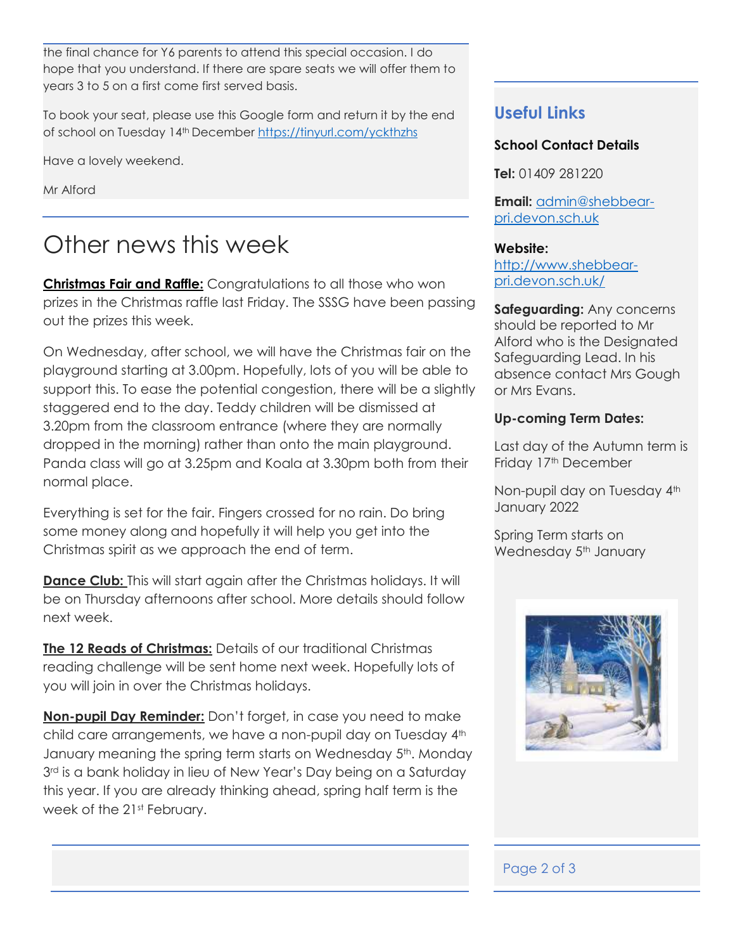the final chance for Y6 parents to attend this special occasion. I do hope that you understand. If there are spare seats we will offer them to years 3 to 5 on a first come first served basis.

To book your seat, please use this Google form and return it by the end of school on Tuesday 14<sup>th</sup> December <https://tinyurl.com/yckthzhs>

Have a lovely weekend.

Mr Alford

# Other news this week

**Christmas Fair and Raffle:** Congratulations to all those who won prizes in the Christmas raffle last Friday. The SSSG have been passing out the prizes this week.

On Wednesday, after school, we will have the Christmas fair on the playground starting at 3.00pm. Hopefully, lots of you will be able to support this. To ease the potential congestion, there will be a slightly staggered end to the day. Teddy children will be dismissed at 3.20pm from the classroom entrance (where they are normally dropped in the morning) rather than onto the main playground. Panda class will go at 3.25pm and Koala at 3.30pm both from their normal place.

Everything is set for the fair. Fingers crossed for no rain. Do bring some money along and hopefully it will help you get into the Christmas spirit as we approach the end of term.

**Dance Club:** This will start again after the Christmas holidays. It will be on Thursday afternoons after school. More details should follow next week.

**The 12 Reads of Christmas:** Details of our traditional Christmas reading challenge will be sent home next week. Hopefully lots of you will join in over the Christmas holidays.

**Non-pupil Day Reminder:** Don't forget, in case you need to make child care arrangements, we have a non-pupil day on Tuesday 4<sup>th</sup> January meaning the spring term starts on Wednesday 5<sup>th</sup>. Monday 3<sup>rd</sup> is a bank holiday in lieu of New Year's Day being on a Saturday this year. If you are already thinking ahead, spring half term is the week of the 21<sup>st</sup> February.

# **Useful Links**

### **School Contact Details**

**Tel:** 01409 281220

**Email:** [admin@shebbear](mailto:admin@shebbear-pri.devon.sch.uk)[pri.devon.sch.uk](mailto:admin@shebbear-pri.devon.sch.uk)

#### **Website:**

[http://www.shebbear](http://www.shebbear-pri.devon.sch.uk/)[pri.devon.sch.uk/](http://www.shebbear-pri.devon.sch.uk/)

**Safeguarding:** Any concerns should be reported to Mr Alford who is the Designated Safeguarding Lead. In his absence contact Mrs Gough or Mrs Evans.

### **Up-coming Term Dates:**

Last day of the Autumn term is Friday 17<sup>th</sup> December

Non-pupil day on Tuesday 4<sup>th</sup> January 2022

Spring Term starts on Wednesday 5<sup>th</sup> January



# Page 2 of 3